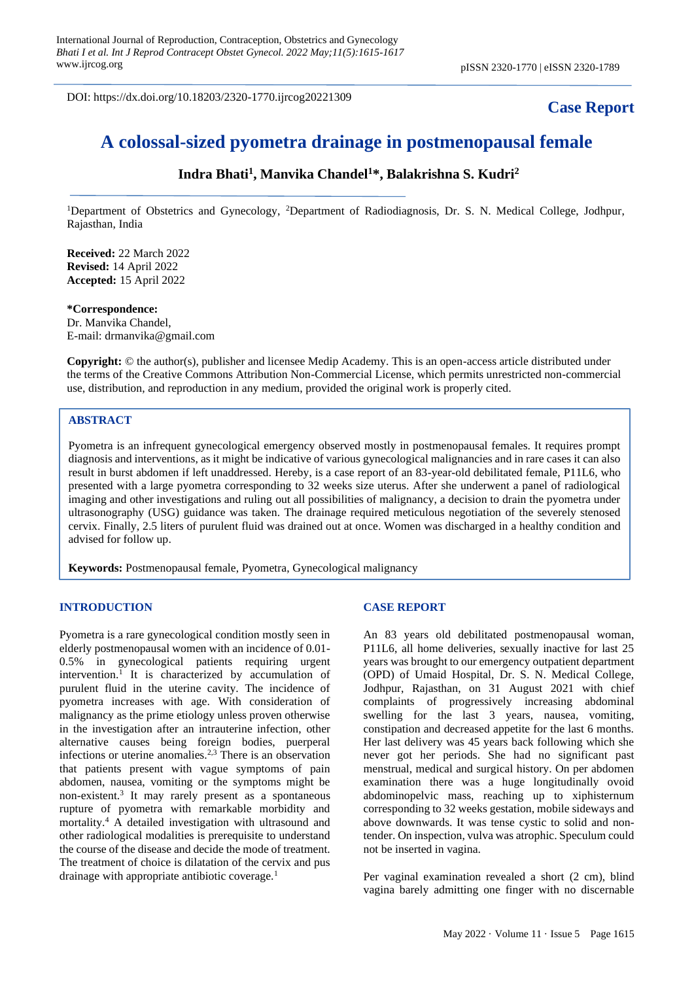DOI: https://dx.doi.org/10.18203/2320-1770.ijrcog20221309

# **Case Report**

# **A colossal-sized pyometra drainage in postmenopausal female**

# **Indra Bhati<sup>1</sup> , Manvika Chandel<sup>1</sup>\*, Balakrishna S. Kudri<sup>2</sup>**

<sup>1</sup>Department of Obstetrics and Gynecology, <sup>2</sup>Department of Radiodiagnosis, Dr. S. N. Medical College, Jodhpur, Rajasthan, India

**Received:** 22 March 2022 **Revised:** 14 April 2022 **Accepted:** 15 April 2022

#### **\*Correspondence:**

Dr. Manvika Chandel, E-mail: drmanvika@gmail.com

**Copyright:** © the author(s), publisher and licensee Medip Academy. This is an open-access article distributed under the terms of the Creative Commons Attribution Non-Commercial License, which permits unrestricted non-commercial use, distribution, and reproduction in any medium, provided the original work is properly cited.

#### **ABSTRACT**

Pyometra is an infrequent gynecological emergency observed mostly in postmenopausal females. It requires prompt diagnosis and interventions, as it might be indicative of various gynecological malignancies and in rare cases it can also result in burst abdomen if left unaddressed. Hereby, is a case report of an 83-year-old debilitated female, P11L6, who presented with a large pyometra corresponding to 32 weeks size uterus. After she underwent a panel of radiological imaging and other investigations and ruling out all possibilities of malignancy, a decision to drain the pyometra under ultrasonography (USG) guidance was taken. The drainage required meticulous negotiation of the severely stenosed cervix. Finally, 2.5 liters of purulent fluid was drained out at once. Women was discharged in a healthy condition and advised for follow up.

**Keywords:** Postmenopausal female, Pyometra, Gynecological malignancy

#### **INTRODUCTION**

Pyometra is a rare gynecological condition mostly seen in elderly postmenopausal women with an incidence of 0.01- 0.5% in gynecological patients requiring urgent intervention.<sup>1</sup> It is characterized by accumulation of purulent fluid in the uterine cavity. The incidence of pyometra increases with age. With consideration of malignancy as the prime etiology unless proven otherwise in the investigation after an intrauterine infection, other alternative causes being foreign bodies, puerperal infections or uterine anomalies.2,3 There is an observation that patients present with vague symptoms of pain abdomen, nausea, vomiting or the symptoms might be non-existent.<sup>3</sup> It may rarely present as a spontaneous rupture of pyometra with remarkable morbidity and mortality.<sup>4</sup> A detailed investigation with ultrasound and other radiological modalities is prerequisite to understand the course of the disease and decide the mode of treatment. The treatment of choice is dilatation of the cervix and pus drainage with appropriate antibiotic coverage.<sup>1</sup>

## **CASE REPORT**

An 83 years old debilitated postmenopausal woman, P11L6, all home deliveries, sexually inactive for last 25 years was brought to our emergency outpatient department (OPD) of Umaid Hospital, Dr. S. N. Medical College, Jodhpur, Rajasthan, on 31 August 2021 with chief complaints of progressively increasing abdominal swelling for the last 3 years, nausea, vomiting, constipation and decreased appetite for the last 6 months. Her last delivery was 45 years back following which she never got her periods. She had no significant past menstrual, medical and surgical history. On per abdomen examination there was a huge longitudinally ovoid abdominopelvic mass, reaching up to xiphisternum corresponding to 32 weeks gestation, mobile sideways and above downwards. It was tense cystic to solid and nontender. On inspection, vulva was atrophic. Speculum could not be inserted in vagina.

Per vaginal examination revealed a short (2 cm), blind vagina barely admitting one finger with no discernable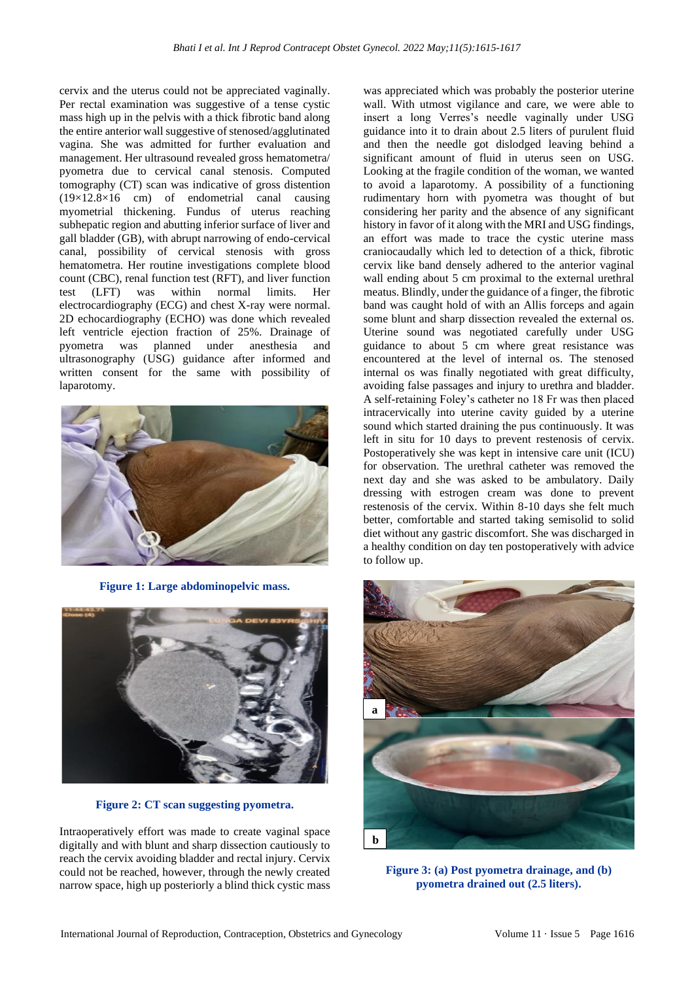cervix and the uterus could not be appreciated vaginally. Per rectal examination was suggestive of a tense cystic mass high up in the pelvis with a thick fibrotic band along the entire anterior wall suggestive of stenosed/agglutinated vagina. She was admitted for further evaluation and management. Her ultrasound revealed gross hematometra/ pyometra due to cervical canal stenosis. Computed tomography (CT) scan was indicative of gross distention (19×12.8×16 cm) of endometrial canal causing myometrial thickening. Fundus of uterus reaching subhepatic region and abutting inferior surface of liver and gall bladder (GB), with abrupt narrowing of endo-cervical canal, possibility of cervical stenosis with gross hematometra. Her routine investigations complete blood count (CBC), renal function test (RFT), and liver function test (LFT) was within normal limits. Her electrocardiography (ECG) and chest X-ray were normal. 2D echocardiography (ECHO) was done which revealed left ventricle ejection fraction of 25%. Drainage of pyometra was planned under anesthesia and ultrasonography (USG) guidance after informed and written consent for the same with possibility of laparotomy.



**Figure 1: Large abdominopelvic mass.**



**Figure 2: CT scan suggesting pyometra.**

Intraoperatively effort was made to create vaginal space digitally and with blunt and sharp dissection cautiously to reach the cervix avoiding bladder and rectal injury. Cervix could not be reached, however, through the newly created narrow space, high up posteriorly a blind thick cystic mass was appreciated which was probably the posterior uterine wall. With utmost vigilance and care, we were able to insert a long Verres's needle vaginally under USG guidance into it to drain about 2.5 liters of purulent fluid and then the needle got dislodged leaving behind a significant amount of fluid in uterus seen on USG. Looking at the fragile condition of the woman, we wanted to avoid a laparotomy. A possibility of a functioning rudimentary horn with pyometra was thought of but considering her parity and the absence of any significant history in favor of it along with the MRI and USG findings, an effort was made to trace the cystic uterine mass craniocaudally which led to detection of a thick, fibrotic cervix like band densely adhered to the anterior vaginal wall ending about 5 cm proximal to the external urethral meatus. Blindly, under the guidance of a finger, the fibrotic band was caught hold of with an Allis forceps and again some blunt and sharp dissection revealed the external os. Uterine sound was negotiated carefully under USG guidance to about 5 cm where great resistance was encountered at the level of internal os. The stenosed internal os was finally negotiated with great difficulty, avoiding false passages and injury to urethra and bladder. A self-retaining Foley's catheter no 18 Fr was then placed intracervically into uterine cavity guided by a uterine sound which started draining the pus continuously. It was left in situ for 10 days to prevent restenosis of cervix. Postoperatively she was kept in intensive care unit (ICU) for observation. The urethral catheter was removed the next day and she was asked to be ambulatory. Daily dressing with estrogen cream was done to prevent restenosis of the cervix. Within 8-10 days she felt much better, comfortable and started taking semisolid to solid diet without any gastric discomfort. She was discharged in a healthy condition on day ten postoperatively with advice to follow up.



**Figure 3: (a) Post pyometra drainage, and (b) pyometra drained out (2.5 liters).**